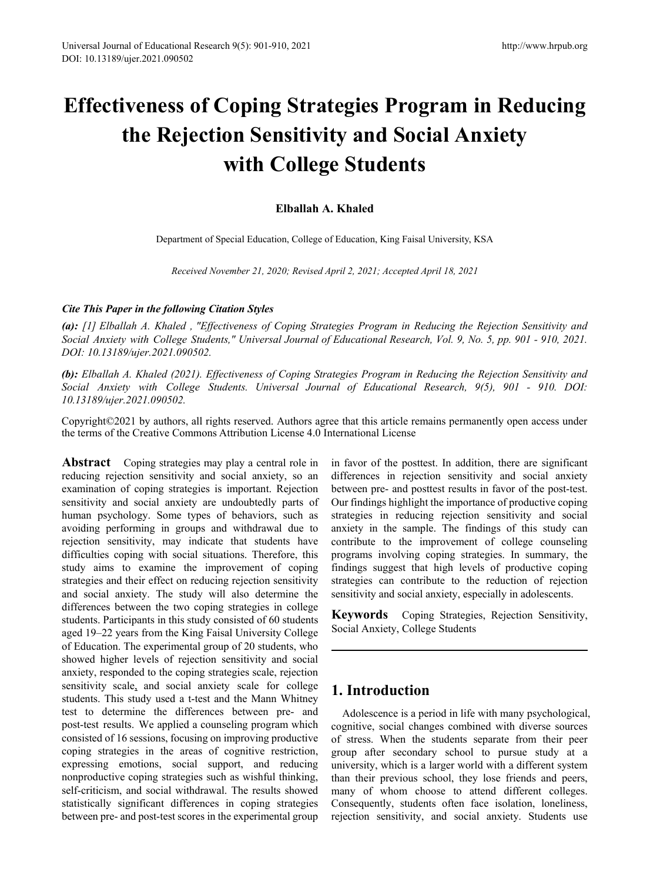# **Effectiveness of Coping Strategies Program in Reducing the Rejection Sensitivity and Social Anxiety with College Students**

## **Elballah A. Khaled**

Department of Special Education, College of Education, King Faisal University, KSA

*Received November 21, 2020; Revised April 2, 2021; Accepted April 18, 2021*

## *Cite This Paper in the following Citation Styles*

*(a): [1] Elballah A. Khaled , "Effectiveness of Coping Strategies Program in Reducing the Rejection Sensitivity and Social Anxiety with College Students," Universal Journal of Educational Research, Vol. 9, No. 5, pp. 901 - 910, 2021. DOI: 10.13189/ujer.2021.090502.* 

*(b): Elballah A. Khaled (2021). Effectiveness of Coping Strategies Program in Reducing the Rejection Sensitivity and Social Anxiety with College Students. Universal Journal of Educational Research, 9(5), 901 - 910. DOI: 10.13189/ujer.2021.090502.* 

Copyright©2021 by authors, all rights reserved. Authors agree that this article remains permanently open access under the terms of the Creative Commons Attribution License 4.0 International License

**Abstract** Coping strategies may play a central role in reducing rejection sensitivity and social anxiety, so an examination of coping strategies is important. Rejection sensitivity and social anxiety are undoubtedly parts of human psychology. Some types of behaviors, such as avoiding performing in groups and withdrawal due to rejection sensitivity, may indicate that students have difficulties coping with social situations. Therefore, this study aims to examine the improvement of coping strategies and their effect on reducing rejection sensitivity and social anxiety. The study will also determine the differences between the two coping strategies in college students. Participants in this study consisted of 60 students aged 19–22 years from the King Faisal University College of Education. The experimental group of 20 students, who showed higher levels of rejection sensitivity and social anxiety, responded to the coping strategies scale, rejection sensitivity scale, and social anxiety scale for college students. This study used a t-test and the Mann Whitney test to determine the differences between pre- and post-test results. We applied a counseling program which consisted of 16 sessions, focusing on improving productive coping strategies in the areas of cognitive restriction, expressing emotions, social support, and reducing nonproductive coping strategies such as wishful thinking, self-criticism, and social withdrawal. The results showed statistically significant differences in coping strategies between pre- and post-test scores in the experimental group

in favor of the posttest. In addition, there are significant differences in rejection sensitivity and social anxiety between pre- and posttest results in favor of the post-test. Our findings highlight the importance of productive coping strategies in reducing rejection sensitivity and social anxiety in the sample. The findings of this study can contribute to the improvement of college counseling programs involving coping strategies. In summary, the findings suggest that high levels of productive coping strategies can contribute to the reduction of rejection sensitivity and social anxiety, especially in adolescents.

**Keywords** Coping Strategies, Rejection Sensitivity, Social Anxiety, College Students

# **1. Introduction**

Adolescence is a period in life with many psychological, cognitive, social changes combined with diverse sources of stress. When the students separate from their peer group after secondary school to pursue study at a university, which is a larger world with a different system than their previous school, they lose friends and peers, many of whom choose to attend different colleges. Consequently, students often face isolation, loneliness, rejection sensitivity, and social anxiety. Students use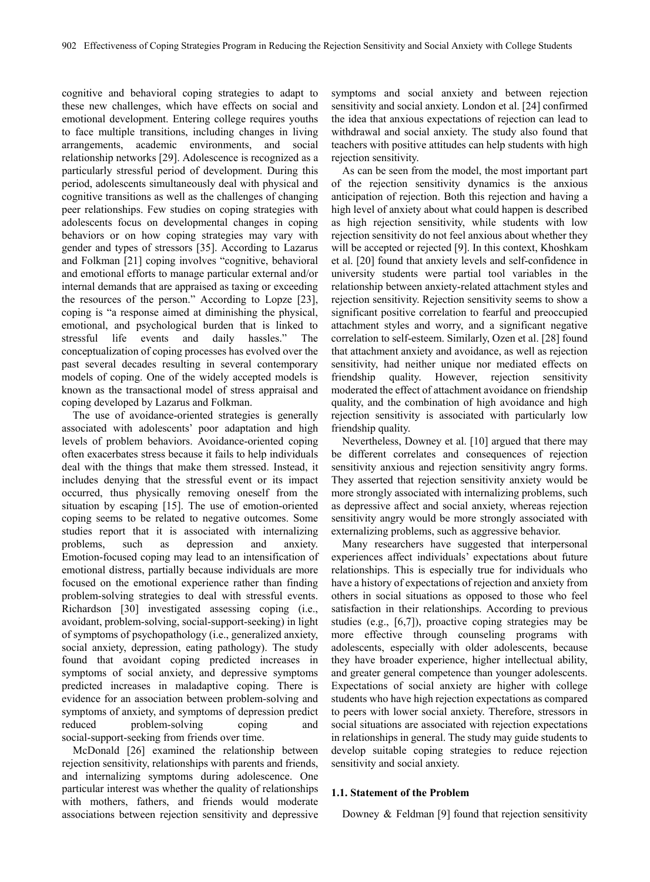cognitive and behavioral coping strategies to adapt to these new challenges, which have effects on social and emotional development. Entering college requires youths to face multiple transitions, including changes in living arrangements, academic environments, and social relationship networks [29]. Adolescence is recognized as a particularly stressful period of development. During this period, adolescents simultaneously deal with physical and cognitive transitions as well as the challenges of changing peer relationships. Few studies on coping strategies with adolescents focus on developmental changes in coping behaviors or on how coping strategies may vary with gender and types of stressors [35]. According to Lazarus and Folkman [21] coping involves "cognitive, behavioral and emotional efforts to manage particular external and/or internal demands that are appraised as taxing or exceeding the resources of the person." According to Lopze [23], coping is "a response aimed at diminishing the physical, emotional, and psychological burden that is linked to stressful life events and daily hassles." The conceptualization of coping processes has evolved over the past several decades resulting in several contemporary models of coping. One of the widely accepted models is known as the transactional model of stress appraisal and coping developed by Lazarus and Folkman.

The use of avoidance-oriented strategies is generally associated with adolescents' poor adaptation and high levels of problem behaviors. Avoidance-oriented coping often exacerbates stress because it fails to help individuals deal with the things that make them stressed. Instead, it includes denying that the stressful event or its impact occurred, thus physically removing oneself from the situation by escaping [15]. The use of emotion-oriented coping seems to be related to negative outcomes. Some studies report that it is associated with internalizing problems, such as depression and anxiety. Emotion-focused coping may lead to an intensification of emotional distress, partially because individuals are more focused on the emotional experience rather than finding problem-solving strategies to deal with stressful events. Richardson [30] investigated assessing coping (i.e., avoidant, problem-solving, social-support-seeking) in light of symptoms of psychopathology (i.e., generalized anxiety, social anxiety, depression, eating pathology). The study found that avoidant coping predicted increases in symptoms of social anxiety, and depressive symptoms predicted increases in maladaptive coping. There is evidence for an association between problem-solving and symptoms of anxiety, and symptoms of depression predict reduced problem-solving coping and social-support-seeking from friends over time.

McDonald [26] examined the relationship between rejection sensitivity, relationships with parents and friends, and internalizing symptoms during adolescence. One particular interest was whether the quality of relationships with mothers, fathers, and friends would moderate associations between rejection sensitivity and depressive symptoms and social anxiety and between rejection sensitivity and social anxiety. London et al. [24] confirmed the idea that anxious expectations of rejection can lead to withdrawal and social anxiety. The study also found that teachers with positive attitudes can help students with high rejection sensitivity.

As can be seen from the model, the most important part of the rejection sensitivity dynamics is the anxious anticipation of rejection. Both this rejection and having a high level of anxiety about what could happen is described as high rejection sensitivity, while students with low rejection sensitivity do not feel anxious about whether they will be accepted or rejected [9]. In this context, Khoshkam et al. [20] found that anxiety levels and self-confidence in university students were partial tool variables in the relationship between anxiety-related attachment styles and rejection sensitivity. Rejection sensitivity seems to show a significant positive correlation to fearful and preoccupied attachment styles and worry, and a significant negative correlation to self-esteem. Similarly, Ozen et al. [28] found that attachment anxiety and avoidance, as well as rejection sensitivity, had neither unique nor mediated effects on friendship quality. However, rejection sensitivity moderated the effect of attachment avoidance on friendship quality, and the combination of high avoidance and high rejection sensitivity is associated with particularly low friendship quality.

Nevertheless, Downey et al. [10] argued that there may be different correlates and consequences of rejection sensitivity anxious and rejection sensitivity angry forms. They asserted that rejection sensitivity anxiety would be more strongly associated with internalizing problems, such as depressive affect and social anxiety, whereas rejection sensitivity angry would be more strongly associated with externalizing problems, such as aggressive behavior.

Many researchers have suggested that interpersonal experiences affect individuals' expectations about future relationships. This is especially true for individuals who have a history of expectations of rejection and anxiety from others in social situations as opposed to those who feel satisfaction in their relationships. According to previous studies (e.g., [6,7]), proactive coping strategies may be more effective through counseling programs with adolescents, especially with older adolescents, because they have broader experience, higher intellectual ability, and greater general competence than younger adolescents. Expectations of social anxiety are higher with college students who have high rejection expectations as compared to peers with lower social anxiety. Therefore, stressors in social situations are associated with rejection expectations in relationships in general. The study may guide students to develop suitable coping strategies to reduce rejection sensitivity and social anxiety.

#### **1.1. Statement of the Problem**

Downey & Feldman [9] found that rejection sensitivity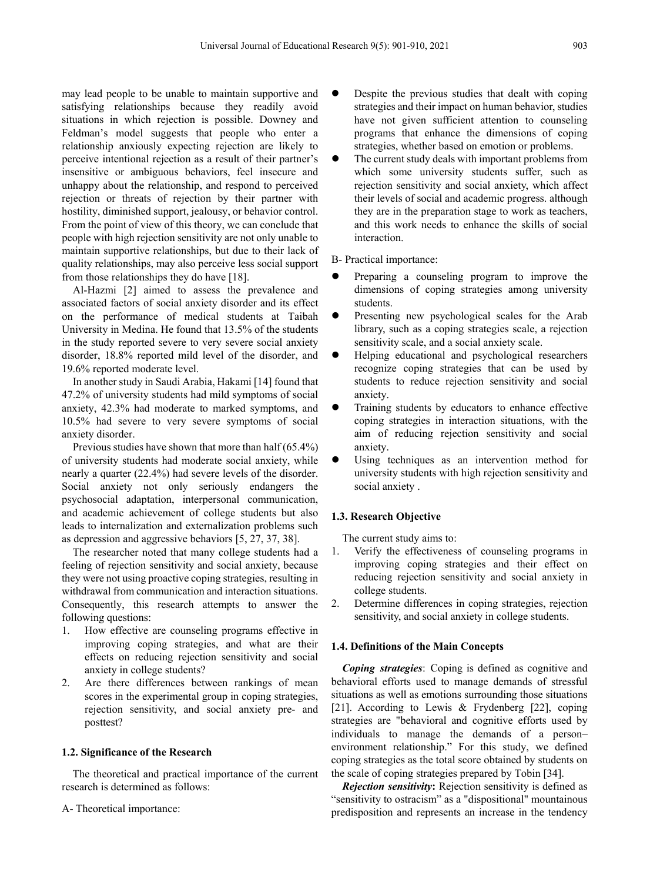may lead people to be unable to maintain supportive and satisfying relationships because they readily avoid situations in which rejection is possible. Downey and Feldman's model suggests that people who enter a relationship anxiously expecting rejection are likely to perceive intentional rejection as a result of their partner's insensitive or ambiguous behaviors, feel insecure and unhappy about the relationship, and respond to perceived rejection or threats of rejection by their partner with hostility, diminished support, jealousy, or behavior control. From the point of view of this theory, we can conclude that people with high rejection sensitivity are not only unable to maintain supportive relationships, but due to their lack of quality relationships, may also perceive less social support from those relationships they do have [18].

Al-Hazmi [2] aimed to assess the prevalence and associated factors of social anxiety disorder and its effect on the performance of medical students at Taibah University in Medina. He found that 13.5% of the students in the study reported severe to very severe social anxiety disorder, 18.8% reported mild level of the disorder, and 19.6% reported moderate level.

In another study in Saudi Arabia, Hakami [14] found that 47.2% of university students had mild symptoms of social anxiety, 42.3% had moderate to marked symptoms, and 10.5% had severe to very severe symptoms of social anxiety disorder.

Previous studies have shown that more than half (65.4%) of university students had moderate social anxiety, while nearly a quarter (22.4%) had severe levels of the disorder. Social anxiety not only seriously endangers the psychosocial adaptation, interpersonal communication, and academic achievement of college students but also leads to internalization and externalization problems such as depression and aggressive behaviors [5, 27, 37, 38].

The researcher noted that many college students had a feeling of rejection sensitivity and social anxiety, because they were not using proactive coping strategies, resulting in withdrawal from communication and interaction situations. Consequently, this research attempts to answer the following questions:

- 1. How effective are counseling programs effective in improving coping strategies, and what are their effects on reducing rejection sensitivity and social anxiety in college students?
- 2. Are there differences between rankings of mean scores in the experimental group in coping strategies, rejection sensitivity, and social anxiety pre- and posttest?

## **1.2. Significance of the Research**

The theoretical and practical importance of the current research is determined as follows:

A- Theoretical importance:

- Despite the previous studies that dealt with coping strategies and their impact on human behavior, studies have not given sufficient attention to counseling programs that enhance the dimensions of coping strategies, whether based on emotion or problems.
- The current study deals with important problems from which some university students suffer, such as rejection sensitivity and social anxiety, which affect their levels of social and academic progress. although they are in the preparation stage to work as teachers, and this work needs to enhance the skills of social interaction.

## B- Practical importance:

- Preparing a counseling program to improve the dimensions of coping strategies among university students.
- **•** Presenting new psychological scales for the Arab library, such as a coping strategies scale, a rejection sensitivity scale, and a social anxiety scale.
- Helping educational and psychological researchers recognize coping strategies that can be used by students to reduce rejection sensitivity and social anxiety.
- Training students by educators to enhance effective coping strategies in interaction situations, with the aim of reducing rejection sensitivity and social anxiety.
- Using techniques as an intervention method for university students with high rejection sensitivity and social anxiety .

## **1.3. Research Objective**

The current study aims to:

- 1. Verify the effectiveness of counseling programs in improving coping strategies and their effect on reducing rejection sensitivity and social anxiety in college students.
- 2. Determine differences in coping strategies, rejection sensitivity, and social anxiety in college students.

## **1.4. Definitions of the Main Concepts**

*Coping strategies*: Coping is defined as cognitive and behavioral efforts used to manage demands of stressful situations as well as emotions surrounding those situations [21]. According to Lewis & Frydenberg [22], coping strategies are "behavioral and cognitive efforts used by individuals to manage the demands of a person– environment relationship." For this study, we defined coping strategies as the total score obtained by students on the scale of coping strategies prepared by Tobin [34].

*Rejection sensitivity***:** Rejection sensitivity is defined as "sensitivity to ostracism" as a "dispositional" mountainous predisposition and represents an increase in the tendency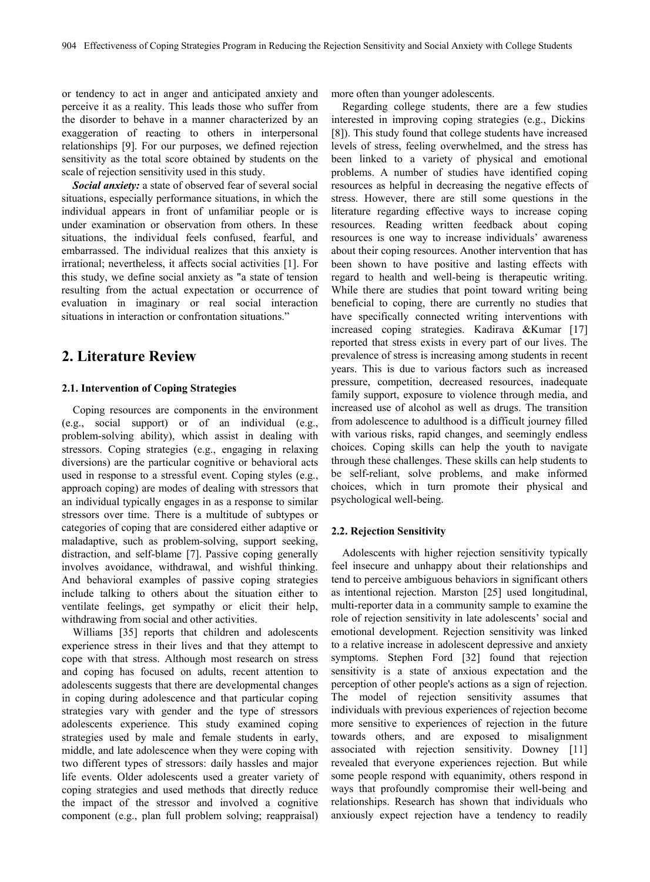or tendency to act in anger and anticipated anxiety and perceive it as a reality. This leads those who suffer from the disorder to behave in a manner characterized by an exaggeration of reacting to others in interpersonal relationships [9]. For our purposes, we defined rejection sensitivity as the total score obtained by students on the scale of rejection sensitivity used in this study.

*Social anxiety:* a state of observed fear of several social situations, especially performance situations, in which the individual appears in front of unfamiliar people or is under examination or observation from others. In these situations, the individual feels confused, fearful, and embarrassed. The individual realizes that this anxiety is irrational; nevertheless, it affects social activities [1]. For this study, we define social anxiety as "a state of tension resulting from the actual expectation or occurrence of evaluation in imaginary or real social interaction situations in interaction or confrontation situations."

# **2. Literature Review**

## **2.1. Intervention of Coping Strategies**

Coping resources are components in the environment (e.g., social support) or of an individual (e.g., problem-solving ability), which assist in dealing with stressors. Coping strategies (e.g., engaging in relaxing diversions) are the particular cognitive or behavioral acts used in response to a stressful event. Coping styles (e.g., approach coping) are modes of dealing with stressors that an individual typically engages in as a response to similar stressors over time. There is a multitude of subtypes or categories of coping that are considered either adaptive or maladaptive, such as problem-solving, support seeking, distraction, and self-blame [7]. Passive coping generally involves avoidance, withdrawal, and wishful thinking. And behavioral examples of passive coping strategies include talking to others about the situation either to ventilate feelings, get sympathy or elicit their help, withdrawing from social and other activities.

Williams [35] reports that children and adolescents experience stress in their lives and that they attempt to cope with that stress. Although most research on stress and coping has focused on adults, recent attention to adolescents suggests that there are developmental changes in coping during adolescence and that particular coping strategies vary with gender and the type of stressors adolescents experience. This study examined coping strategies used by male and female students in early, middle, and late adolescence when they were coping with two different types of stressors: daily hassles and major life events. Older adolescents used a greater variety of coping strategies and used methods that directly reduce the impact of the stressor and involved a cognitive component (e.g., plan full problem solving; reappraisal)

more often than younger adolescents.

Regarding college students, there are a few studies interested in improving coping strategies (e.g., Dickins [8]). This study found that college students have increased levels of stress, feeling overwhelmed, and the stress has been linked to a variety of physical and emotional problems. A number of studies have identified coping resources as helpful in decreasing the negative effects of stress. However, there are still some questions in the literature regarding effective ways to increase coping resources. Reading written feedback about coping resources is one way to increase individuals' awareness about their coping resources. Another intervention that has been shown to have positive and lasting effects with regard to health and well-being is therapeutic writing. While there are studies that point toward writing being beneficial to coping, there are currently no studies that have specifically connected writing interventions with increased coping strategies. Kadirava &Kumar [17] reported that stress exists in every part of our lives. The prevalence of stress is increasing among students in recent years. This is due to various factors such as increased pressure, competition, decreased resources, inadequate family support, exposure to violence through media, and increased use of alcohol as well as drugs. The transition from adolescence to adulthood is a difficult journey filled with various risks, rapid changes, and seemingly endless choices. Coping skills can help the youth to navigate through these challenges. These skills can help students to be self-reliant, solve problems, and make informed choices, which in turn promote their physical and psychological well-being.

#### **2.2. Rejection Sensitivity**

Adolescents with higher rejection sensitivity typically feel insecure and unhappy about their relationships and tend to perceive ambiguous behaviors in significant others as intentional rejection. Marston [25] used longitudinal, multi-reporter data in a community sample to examine the role of rejection sensitivity in late adolescents' social and emotional development. Rejection sensitivity was linked to a relative increase in adolescent depressive and anxiety symptoms. Stephen Ford [32] found that rejection sensitivity is a state of anxious expectation and the perception of other people's actions as a sign of rejection. The model of rejection sensitivity assumes that individuals with previous experiences of rejection become more sensitive to experiences of rejection in the future towards others, and are exposed to misalignment associated with rejection sensitivity. Downey [11] revealed that everyone experiences rejection. But while some people respond with equanimity, others respond in ways that profoundly compromise their well-being and relationships. Research has shown that individuals who anxiously expect rejection have a tendency to readily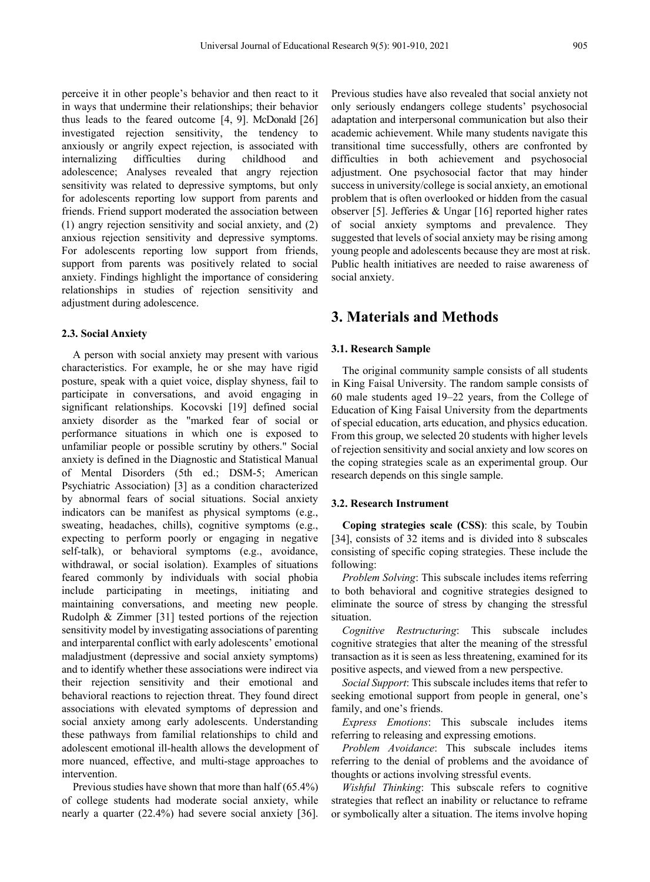perceive it in other people's behavior and then react to it in ways that undermine their relationships; their behavior thus leads to the feared outcome [4, 9]. McDonald [26] investigated rejection sensitivity, the tendency to anxiously or angrily expect rejection, is associated with internalizing difficulties during childhood and adolescence; Analyses revealed that angry rejection sensitivity was related to depressive symptoms, but only for adolescents reporting low support from parents and friends. Friend support moderated the association between (1) angry rejection sensitivity and social anxiety, and (2) anxious rejection sensitivity and depressive symptoms. For adolescents reporting low support from friends, support from parents was positively related to social anxiety. Findings highlight the importance of considering relationships in studies of rejection sensitivity and adjustment during adolescence.

#### **2.3. Social Anxiety**

A person with social anxiety may present with various characteristics. For example, he or she may have rigid posture, speak with a quiet voice, display shyness, fail to participate in conversations, and avoid engaging in significant relationships. Kocovski [19] defined social anxiety disorder as the "marked fear of social or performance situations in which one is exposed to unfamiliar people or possible scrutiny by others." Social anxiety is defined in the Diagnostic and Statistical Manual of Mental Disorders (5th ed.; DSM-5; American Psychiatric Association) [3] as a condition characterized by abnormal fears of social situations. Social anxiety indicators can be manifest as physical symptoms (e.g., sweating, headaches, chills), cognitive symptoms (e.g., expecting to perform poorly or engaging in negative self-talk), or behavioral symptoms (e.g., avoidance, withdrawal, or social isolation). Examples of situations feared commonly by individuals with social phobia include participating in meetings, initiating and maintaining conversations, and meeting new people. Rudolph & Zimmer [31] tested portions of the rejection sensitivity model by investigating associations of parenting and interparental conflict with early adolescents' emotional maladjustment (depressive and social anxiety symptoms) and to identify whether these associations were indirect via their rejection sensitivity and their emotional and behavioral reactions to rejection threat. They found direct associations with elevated symptoms of depression and social anxiety among early adolescents. Understanding these pathways from familial relationships to child and adolescent emotional ill-health allows the development of more nuanced, effective, and multi-stage approaches to intervention.

Previous studies have shown that more than half (65.4%) of college students had moderate social anxiety, while nearly a quarter (22.4%) had severe social anxiety [36].

Previous studies have also revealed that social anxiety not only seriously endangers college students' psychosocial adaptation and interpersonal communication but also their academic achievement. While many students navigate this transitional time successfully, others are confronted by difficulties in both achievement and psychosocial adjustment. One psychosocial factor that may hinder success in university/college is social anxiety, an emotional problem that is often overlooked or hidden from the casual observer [5]. Jefferies & Ungar [16] reported higher rates of social anxiety symptoms and prevalence. They suggested that levels of social anxiety may be rising among young people and adolescents because they are most at risk. Public health initiatives are needed to raise awareness of social anxiety.

# **3. Materials and Methods**

#### **3.1. Research Sample**

The original community sample consists of all students in King Faisal University. The random sample consists of 60 male students aged 19–22 years, from the College of Education of King Faisal University from the departments of special education, arts education, and physics education. From this group, we selected 20 students with higher levels of rejection sensitivity and social anxiety and low scores on the coping strategies scale as an experimental group. Our research depends on this single sample.

## **3.2. Research Instrument**

**Coping strategies scale (CSS)**: this scale, by Toubin [34], consists of 32 items and is divided into 8 subscales consisting of specific coping strategies. These include the following:

*Problem Solving*: This subscale includes items referring to both behavioral and cognitive strategies designed to eliminate the source of stress by changing the stressful situation.

*Cognitive Restructuring*: This subscale includes cognitive strategies that alter the meaning of the stressful transaction as it is seen as less threatening, examined for its positive aspects, and viewed from a new perspective.

*Social Support*: This subscale includes items that refer to seeking emotional support from people in general, one's family, and one's friends.

*Express Emotions*: This subscale includes items referring to releasing and expressing emotions.

*Problem Avoidance*: This subscale includes items referring to the denial of problems and the avoidance of thoughts or actions involving stressful events.

*Wishful Thinking*: This subscale refers to cognitive strategies that reflect an inability or reluctance to reframe or symbolically alter a situation. The items involve hoping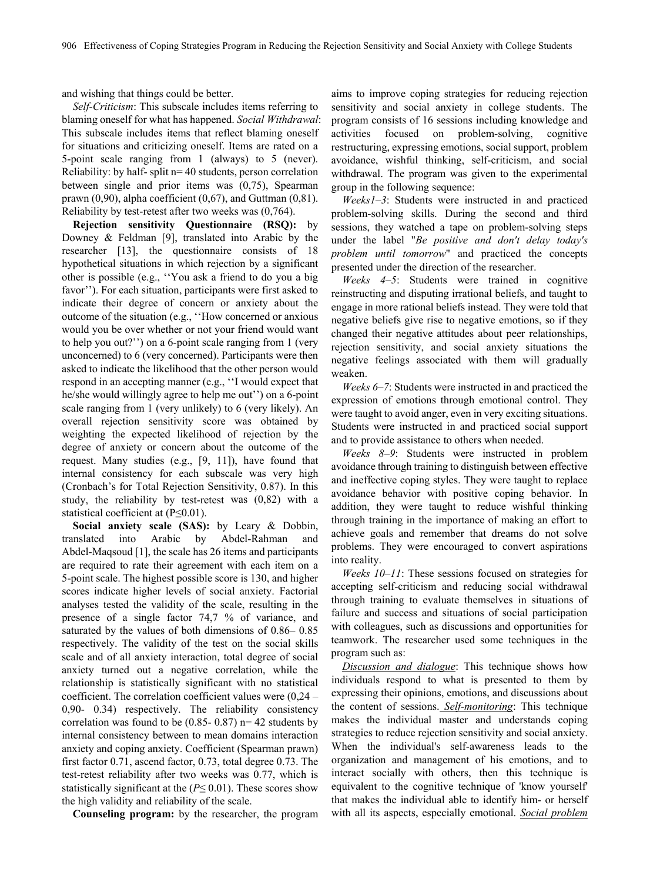and wishing that things could be better.

*Self-Criticism*: This subscale includes items referring to blaming oneself for what has happened. *Social Withdrawal*: This subscale includes items that reflect blaming oneself for situations and criticizing oneself. Items are rated on a 5-point scale ranging from 1 (always) to 5 (never). Reliability: by half- split n= 40 students, person correlation between single and prior items was (0,75), Spearman prawn  $(0,90)$ , alpha coefficient  $(0,67)$ , and Guttman  $(0,81)$ . Reliability by test-retest after two weeks was (0,764).

**Rejection sensitivity Questionnaire (RSQ):** by Downey & Feldman [9], translated into Arabic by the researcher [13], the questionnaire consists of 18 hypothetical situations in which rejection by a significant other is possible (e.g., ''You ask a friend to do you a big favor''). For each situation, participants were first asked to indicate their degree of concern or anxiety about the outcome of the situation (e.g., ''How concerned or anxious would you be over whether or not your friend would want to help you out?'') on a 6-point scale ranging from 1 (very unconcerned) to 6 (very concerned). Participants were then asked to indicate the likelihood that the other person would respond in an accepting manner (e.g., ''I would expect that he/she would willingly agree to help me out" on a 6-point scale ranging from 1 (very unlikely) to 6 (very likely). An overall rejection sensitivity score was obtained by weighting the expected likelihood of rejection by the degree of anxiety or concern about the outcome of the request. Many studies (e.g., [9, 11]), have found that internal consistency for each subscale was very high (Cronbach's for Total Rejection Sensitivity, 0.87). In this study, the reliability by test-retest was (0,82) with a statistical coefficient at (P≤0.01).

**Social anxiety scale (SAS):** by Leary & Dobbin, translated into Arabic by Abdel-Rahman and Abdel-Maqsoud [1], the scale has 26 items and participants are required to rate their agreement with each item on a 5-point scale. The highest possible score is 130, and higher scores indicate higher levels of social anxiety. Factorial analyses tested the validity of the scale, resulting in the presence of a single factor 74,7 % of variance, and saturated by the values of both dimensions of 0.86– 0.85 respectively. The validity of the test on the social skills scale and of all anxiety interaction, total degree of social anxiety turned out a negative correlation, while the relationship is statistically significant with no statistical coefficient. The correlation coefficient values were (0,24 – 0,90- 0.34) respectively. The reliability consistency correlation was found to be  $(0.85-0.87)$  n= 42 students by internal consistency between to mean domains interaction anxiety and coping anxiety. Coefficient (Spearman prawn) first factor 0.71, ascend factor, 0.73, total degree 0.73. The test-retest reliability after two weeks was 0.77, which is statistically significant at the (*P*≤ 0.01). These scores show the high validity and reliability of the scale.

**Counseling program:** by the researcher, the program

aims to improve coping strategies for reducing rejection sensitivity and social anxiety in college students. The program consists of 16 sessions including knowledge and activities focused on problem-solving, cognitive restructuring, expressing emotions, social support, problem avoidance, wishful thinking, self-criticism, and social withdrawal. The program was given to the experimental group in the following sequence:

*Weeks1–3*: Students were instructed in and practiced problem-solving skills. During the second and third sessions, they watched a tape on problem-solving steps under the label "*Be positive and don't delay today's problem until tomorrow*" and practiced the concepts presented under the direction of the researcher.

*Weeks 4–5*: Students were trained in cognitive reinstructing and disputing irrational beliefs, and taught to engage in more rational beliefs instead. They were told that negative beliefs give rise to negative emotions, so if they changed their negative attitudes about peer relationships, rejection sensitivity, and social anxiety situations the negative feelings associated with them will gradually weaken.

*Weeks 6–7*: Students were instructed in and practiced the expression of emotions through emotional control. They were taught to avoid anger, even in very exciting situations. Students were instructed in and practiced social support and to provide assistance to others when needed.

*Weeks 8–9*: Students were instructed in problem avoidance through training to distinguish between effective and ineffective coping styles. They were taught to replace avoidance behavior with positive coping behavior. In addition, they were taught to reduce wishful thinking through training in the importance of making an effort to achieve goals and remember that dreams do not solve problems. They were encouraged to convert aspirations into reality.

*Weeks 10–11*: These sessions focused on strategies for accepting self-criticism and reducing social withdrawal through training to evaluate themselves in situations of failure and success and situations of social participation with colleagues, such as discussions and opportunities for teamwork. The researcher used some techniques in the program such as:

*Discussion and dialogue*: This technique shows how individuals respond to what is presented to them by expressing their opinions, emotions, and discussions about the content of sessions. *Self-monitoring*: This technique makes the individual master and understands coping strategies to reduce rejection sensitivity and social anxiety. When the individual's self-awareness leads to the organization and management of his emotions, and to interact socially with others, then this technique is equivalent to the cognitive technique of 'know yourself' that makes the individual able to identify him- or herself with all its aspects, especially emotional. *Social problem*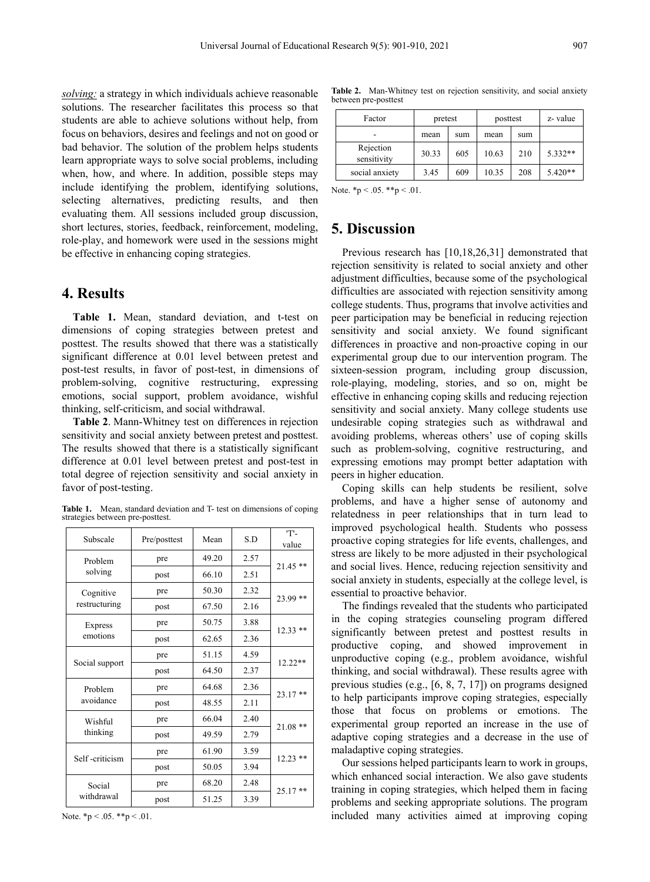*solving:* a strategy in which individuals achieve reasonable solutions. The researcher facilitates this process so that students are able to achieve solutions without help, from focus on behaviors, desires and feelings and not on good or bad behavior. The solution of the problem helps students learn appropriate ways to solve social problems, including when, how, and where. In addition, possible steps may include identifying the problem, identifying solutions, selecting alternatives, predicting results, and then evaluating them. All sessions included group discussion, short lectures, stories, feedback, reinforcement, modeling, role-play, and homework were used in the sessions might be effective in enhancing coping strategies.

## **4. Results**

**Table 1.** Mean, standard deviation, and t-test on dimensions of coping strategies between pretest and posttest. The results showed that there was a statistically significant difference at 0.01 level between pretest and post-test results, in favor of post-test, in dimensions of problem-solving, cognitive restructuring, expressing emotions, social support, problem avoidance, wishful thinking, self-criticism, and social withdrawal.

**Table 2**. Mann-Whitney test on differences in rejection sensitivity and social anxiety between pretest and posttest. The results showed that there is a statistically significant difference at 0.01 level between pretest and post-test in total degree of rejection sensitivity and social anxiety in favor of post-testing.

**Table 1.** Mean, standard deviation and T- test on dimensions of coping strategies between pre-posttest.

| Subscale                   | Pre/posttest | Mean  | S.D  | 'Т'-<br>value |
|----------------------------|--------------|-------|------|---------------|
| Problem<br>solving         | pre          | 49.20 | 2.57 | 21.45 **      |
|                            | post         | 66.10 | 2.51 |               |
| Cognitive<br>restructuring | pre          | 50.30 | 2.32 | 23.99 **      |
|                            | post         | 67.50 | 2.16 |               |
| Express<br>emotions        | pre          | 50.75 | 3.88 | $12.33$ **    |
|                            | post         | 62.65 | 2.36 |               |
| Social support             | pre          | 51.15 | 4.59 | 12.22**       |
|                            | post         | 64.50 | 2.37 |               |
| Problem<br>avoidance       | pre          | 64.68 | 2.36 | 23.17**       |
|                            | post         | 48.55 | 2.11 |               |
| Wishful<br>thinking        | pre          | 66.04 | 2.40 | $21.08**$     |
|                            | post         | 49.59 | 2.79 |               |
| Self-criticism             | pre          | 61.90 | 3.59 | $12.23$ **    |
|                            | post         | 50.05 | 3.94 |               |
| Social<br>withdrawal       | pre          | 68.20 | 2.48 | $25.17**$     |
|                            | post         | 51.25 | 3.39 |               |

**Table 2.** Man-Whitney test on rejection sensitivity, and social anxiety between pre-posttest

| Factor                   | pretest |     | posttest |     | z-value   |
|--------------------------|---------|-----|----------|-----|-----------|
|                          | mean    | sum | mean     | sum |           |
| Rejection<br>sensitivity | 30.33   | 605 | 10.63    | 210 | $5.332**$ |
| social anxiety           | 3.45    | 609 | 10.35    | 208 | $5.420**$ |

Note.  $*_{p} < .05.$   $*_{p} < .01.$ 

# **5. Discussion**

Previous research has [10,18,26,31] demonstrated that rejection sensitivity is related to social anxiety and other adjustment difficulties, because some of the psychological difficulties are associated with rejection sensitivity among college students. Thus, programs that involve activities and peer participation may be beneficial in reducing rejection sensitivity and social anxiety. We found significant differences in proactive and non-proactive coping in our experimental group due to our intervention program. The sixteen-session program, including group discussion, role-playing, modeling, stories, and so on, might be effective in enhancing coping skills and reducing rejection sensitivity and social anxiety. Many college students use undesirable coping strategies such as withdrawal and avoiding problems, whereas others' use of coping skills such as problem-solving, cognitive restructuring, and expressing emotions may prompt better adaptation with peers in higher education.

Coping skills can help students be resilient, solve problems, and have a higher sense of autonomy and relatedness in peer relationships that in turn lead to improved psychological health. Students who possess proactive coping strategies for life events, challenges, and stress are likely to be more adjusted in their psychological and social lives. Hence, reducing rejection sensitivity and social anxiety in students, especially at the college level, is essential to proactive behavior.

The findings revealed that the students who participated in the coping strategies counseling program differed significantly between pretest and posttest results in productive coping, and showed improvement in unproductive coping (e.g., problem avoidance, wishful thinking, and social withdrawal). These results agree with previous studies (e.g., [6, 8, 7, 17]) on programs designed to help participants improve coping strategies, especially those that focus on problems or emotions. The experimental group reported an increase in the use of adaptive coping strategies and a decrease in the use of maladaptive coping strategies.

Our sessions helped participants learn to work in groups, which enhanced social interaction. We also gave students training in coping strategies, which helped them in facing problems and seeking appropriate solutions. The program included many activities aimed at improving coping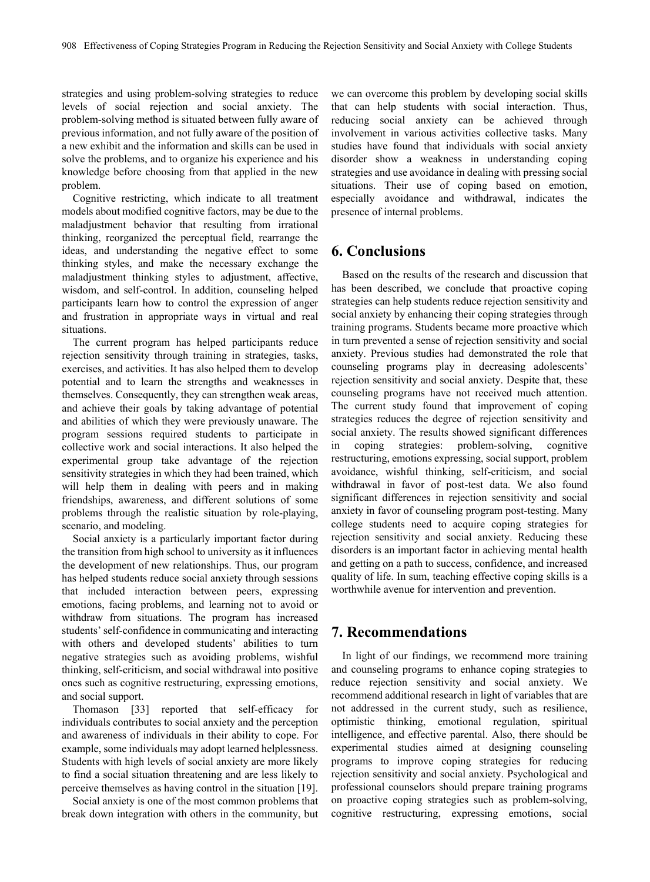strategies and using problem-solving strategies to reduce levels of social rejection and social anxiety. The problem-solving method is situated between fully aware of previous information, and not fully aware of the position of a new exhibit and the information and skills can be used in solve the problems, and to organize his experience and his knowledge before choosing from that applied in the new problem.

Cognitive restricting, which indicate to all treatment models about modified cognitive factors, may be due to the maladjustment behavior that resulting from irrational thinking, reorganized the perceptual field, rearrange the ideas, and understanding the negative effect to some thinking styles, and make the necessary exchange the maladjustment thinking styles to adjustment, affective, wisdom, and self-control. In addition, counseling helped participants learn how to control the expression of anger and frustration in appropriate ways in virtual and real situations.

The current program has helped participants reduce rejection sensitivity through training in strategies, tasks, exercises, and activities. It has also helped them to develop potential and to learn the strengths and weaknesses in themselves. Consequently, they can strengthen weak areas, and achieve their goals by taking advantage of potential and abilities of which they were previously unaware. The program sessions required students to participate in collective work and social interactions. It also helped the experimental group take advantage of the rejection sensitivity strategies in which they had been trained, which will help them in dealing with peers and in making friendships, awareness, and different solutions of some problems through the realistic situation by role-playing, scenario, and modeling.

Social anxiety is a particularly important factor during the transition from high school to university as it influences the development of new relationships. Thus, our program has helped students reduce social anxiety through sessions that included interaction between peers, expressing emotions, facing problems, and learning not to avoid or withdraw from situations. The program has increased students' self-confidence in communicating and interacting with others and developed students' abilities to turn negative strategies such as avoiding problems, wishful thinking, self-criticism, and social withdrawal into positive ones such as cognitive restructuring, expressing emotions, and social support.

Thomason [33] reported that self-efficacy for individuals contributes to social anxiety and the perception and awareness of individuals in their ability to cope. For example, some individuals may adopt learned helplessness. Students with high levels of social anxiety are more likely to find a social situation threatening and are less likely to perceive themselves as having control in the situation [19].

Social anxiety is one of the most common problems that break down integration with others in the community, but

we can overcome this problem by developing social skills that can help students with social interaction. Thus, reducing social anxiety can be achieved through involvement in various activities collective tasks. Many studies have found that individuals with social anxiety disorder show a weakness in understanding coping strategies and use avoidance in dealing with pressing social situations. Their use of coping based on emotion, especially avoidance and withdrawal, indicates the presence of internal problems.

# **6. Conclusions**

Based on the results of the research and discussion that has been described, we conclude that proactive coping strategies can help students reduce rejection sensitivity and social anxiety by enhancing their coping strategies through training programs. Students became more proactive which in turn prevented a sense of rejection sensitivity and social anxiety. Previous studies had demonstrated the role that counseling programs play in decreasing adolescents' rejection sensitivity and social anxiety. Despite that, these counseling programs have not received much attention. The current study found that improvement of coping strategies reduces the degree of rejection sensitivity and social anxiety. The results showed significant differences in coping strategies: problem-solving, cognitive restructuring, emotions expressing, social support, problem avoidance, wishful thinking, self-criticism, and social withdrawal in favor of post-test data. We also found significant differences in rejection sensitivity and social anxiety in favor of counseling program post-testing. Many college students need to acquire coping strategies for rejection sensitivity and social anxiety. Reducing these disorders is an important factor in achieving mental health and getting on a path to success, confidence, and increased quality of life. In sum, teaching effective coping skills is a worthwhile avenue for intervention and prevention.

## **7. Recommendations**

In light of our findings, we recommend more training and counseling programs to enhance coping strategies to reduce rejection sensitivity and social anxiety. We recommend additional research in light of variables that are not addressed in the current study, such as resilience, optimistic thinking, emotional regulation, spiritual intelligence, and effective parental. Also, there should be experimental studies aimed at designing counseling programs to improve coping strategies for reducing rejection sensitivity and social anxiety. Psychological and professional counselors should prepare training programs on proactive coping strategies such as problem-solving, cognitive restructuring, expressing emotions, social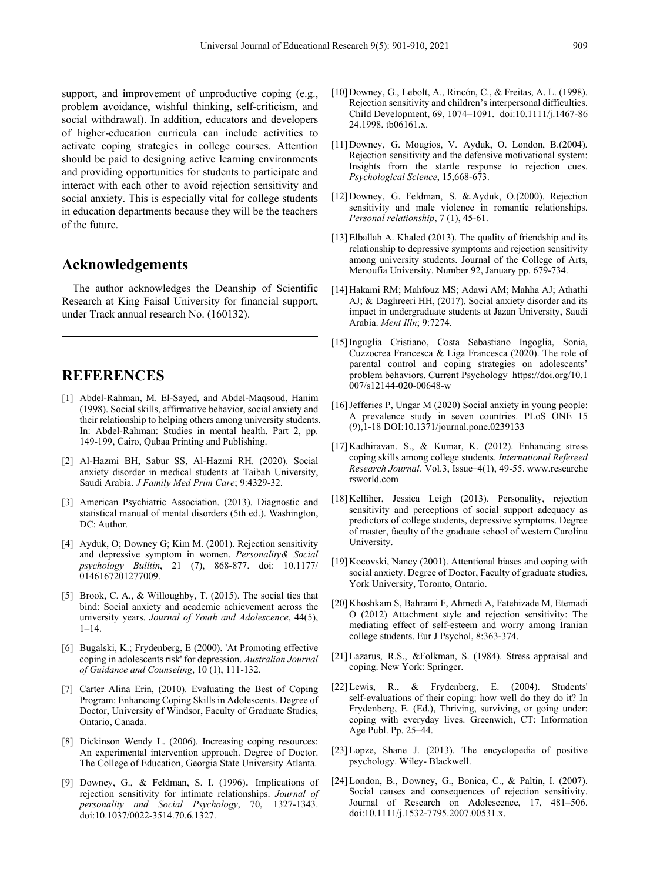support, and improvement of unproductive coping (e.g., problem avoidance, wishful thinking, self-criticism, and social withdrawal). In addition, educators and developers of higher-education curricula can include activities to activate coping strategies in college courses. Attention should be paid to designing active learning environments and providing opportunities for students to participate and interact with each other to avoid rejection sensitivity and social anxiety. This is especially vital for college students in education departments because they will be the teachers of the future.

## **Acknowledgements**

The author acknowledges the Deanship of Scientific Research at King Faisal University for financial support, under Track annual research No. (160132).

# **REFERENCES**

- [1] Abdel-Rahman, M. El-Sayed, and Abdel-Maqsoud, Hanim (1998). Social skills, affirmative behavior, social anxiety and their relationship to helping others among university students. In: Abdel-Rahman: Studies in mental health. Part 2, pp. 149-199, Cairo, Qubaa Printing and Publishing.
- [2] Al-Hazmi BH, Sabur SS, Al-Hazmi RH. (2020). Social anxiety disorder in medical students at Taibah University, Saudi Arabia. *J Family Med Prim Care*; 9:4329-32.
- [3] American Psychiatric Association. (2013). Diagnostic and statistical manual of mental disorders (5th ed.). Washington, DC: Author.
- [4] Ayduk, O; Downey G; Kim M. (2001). Rejection sensitivity and depressive symptom in women. *Personality& Social psychology Bulltin*, 21 (7), 868-877. doi: 10.1177/ 0146167201277009.
- [5] Brook, C. A., & Willoughby, T. (2015). The social ties that bind: Social anxiety and academic achievement across the university years. *Journal of Youth and Adolescence*, 44(5), 1–14.
- [6] Bugalski, K.; Frydenberg, E (2000). 'At Promoting effective coping in adolescents risk' for depression. *Australian Journal of Guidance and Counseling*, 10 (1), 111-132.
- [7] Carter Alina Erin, (2010). Evaluating the Best of Coping Program: Enhancing Coping Skills in Adolescents. Degree of Doctor, University of Windsor, Faculty of Graduate Studies, Ontario, Canada.
- [8] Dickinson Wendy L. (2006). Increasing coping resources: An experimental intervention approach. Degree of Doctor. The College of Education, Georgia State University Atlanta.
- [9] Downey, G., & Feldman, S. I. (1996). Implications of rejection sensitivity for intimate relationships. *Journal of personality and Social Psychology*, 70, 1327-1343. doi:10.1037/0022-3514.70.6.1327.
- [10] Downey, G., Lebolt, A., Rincón, C., & Freitas, A. L. (1998). Rejection sensitivity and children's interpersonal difficulties. Child Development, 69, 1074–1091. doi:10.1111/j.1467-86 24.1998. tb06161.x.
- [11] Downey, G. Mougios, V. Ayduk, O. London, B.(2004). Rejection sensitivity and the defensive motivational system: Insights from the startle response to rejection cues. *Psychological Science*, 15,668-673.
- [12] Downey, G. Feldman, S. &.Ayduk, O.(2000). Rejection sensitivity and male violence in romantic relationships. *Personal relationship*, 7 (1), 45-61.
- [13] Elballah A. Khaled (2013). The quality of friendship and its relationship to depressive symptoms and rejection sensitivity among university students. Journal of the College of Arts, Menoufia University. Number 92, January pp. 679-734.
- [14] Hakami RM; Mahfouz MS; Adawi AM; Mahha AJ; Athathi AJ; & Daghreeri HH, (2017). Social anxiety disorder and its impact in undergraduate students at Jazan University, Saudi Arabia. *Ment Illn*; 9:7274.
- [15]Inguglia Cristiano, Costa Sebastiano Ingoglia, Sonia, Cuzzocrea Francesca & Liga Francesca (2020). The role of parental control and coping strategies on adolescents' problem behaviors. Current Psychology https://doi.org/10.1 007/s12144-020-00648-w
- [16] Jefferies P, Ungar M (2020) Social anxiety in young people: A prevalence study in seven countries. PLoS ONE 15 (9),1-18 DOI:10.1371/journal.pone.0239133
- [17] Kadhiravan. S., & Kumar, K. (2012). Enhancing stress coping skills among college students. *International Refereed Research Journal*. Vol.3, Issue–4(1), 49-55. www.researche rsworld.com
- [18] Kelliher, Jessica Leigh (2013). Personality, rejection sensitivity and perceptions of social support adequacy as predictors of college students, depressive symptoms. Degree of master, faculty of the graduate school of western Carolina University.
- [19] Kocovski, Nancy (2001). Attentional biases and coping with social anxiety. Degree of Doctor, Faculty of graduate studies, York University, Toronto, Ontario.
- [20] Khoshkam S, Bahrami F, Ahmedi A, Fatehizade M, Etemadi O (2012) Attachment style and rejection sensitivity: The mediating effect of self-esteem and worry among Iranian college students. Eur J Psychol, 8:363-374.
- [21]Lazarus, R.S., &Folkman, S. (1984). Stress appraisal and coping. New York: Springer.
- [22]Lewis, R., & Frydenberg, E. (2004). Students' self-evaluations of their coping: how well do they do it? In Frydenberg, E. (Ed.), Thriving, surviving, or going under: coping with everyday lives. Greenwich, CT: Information Age Publ. Pp. 25–44.
- [23]Lopze, Shane J. (2013). The encyclopedia of positive psychology. Wiley- Blackwell.
- [24]London, B., Downey, G., Bonica, C., & Paltin, I. (2007). Social causes and consequences of rejection sensitivity. Journal of Research on Adolescence, 17, 481–506. doi:10.1111/j.1532-7795.2007.00531.x.